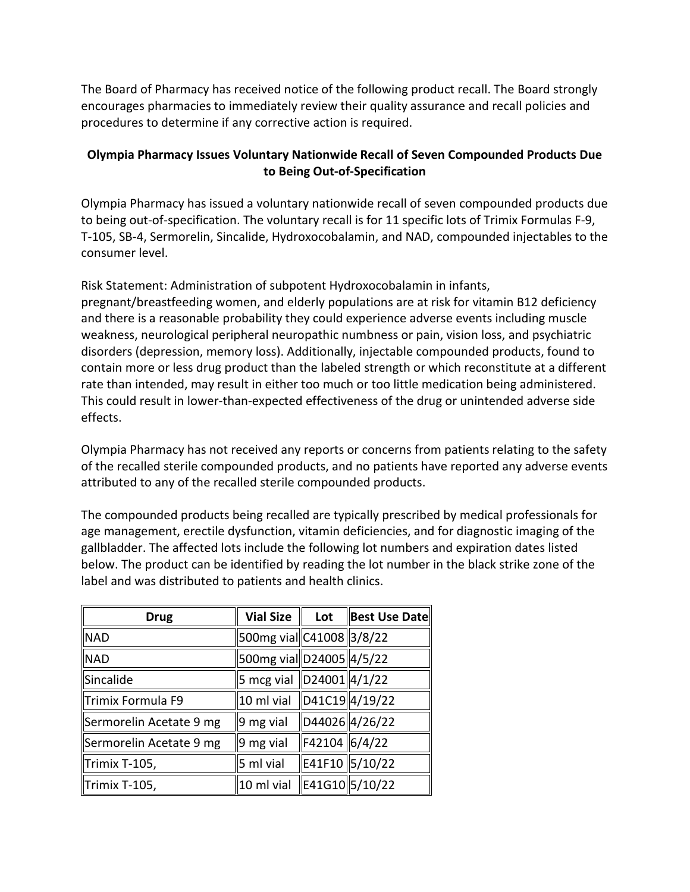The Board of Pharmacy has received notice of the following product recall. The Board strongly encourages pharmacies to immediately review their quality assurance and recall policies and procedures to determine if any corrective action is required.

## **Olympia Pharmacy Issues Voluntary Nationwide Recall of Seven Compounded Products Due to Being Out-of-Specification**

 Olympia Pharmacy has issued a voluntary nationwide recall of seven compounded products due to being out-of-specification. The voluntary recall is for 11 specific lots of Trimix Formulas F-9, T-105, SB-4, Sermorelin, Sincalide, Hydroxocobalamin, and NAD, compounded injectables to the consumer level.

 weakness, neurological peripheral neuropathic numbness or pain, vision loss, and psychiatric Risk Statement: Administration of subpotent Hydroxocobalamin in infants, pregnant/breastfeeding women, and elderly populations are at risk for vitamin B12 deficiency and there is a reasonable probability they could experience adverse events including muscle disorders (depression, memory loss). Additionally, injectable compounded products, found to contain more or less drug product than the labeled strength or which reconstitute at a different rate than intended, may result in either too much or too little medication being administered. This could result in lower-than-expected effectiveness of the drug or unintended adverse side effects.

Olympia Pharmacy has not received any reports or concerns from patients relating to the safety of the recalled sterile compounded products, and no patients have reported any adverse events attributed to any of the recalled sterile compounded products.

 gallbladder. The affected lots include the following lot numbers and expiration dates listed The compounded products being recalled are typically prescribed by medical professionals for age management, erectile dysfunction, vitamin deficiencies, and for diagnostic imaging of the below. The product can be identified by reading the lot number in the black strike zone of the label and was distributed to patients and health clinics.

| <b>Drug</b>             | <b>Vial Size</b>              | Lot           | Best Use Date  |
|-------------------------|-------------------------------|---------------|----------------|
| <b>NAD</b>              | 500mg vial C41008 3/8/22      |               |                |
| <b>NAD</b>              | 500mg vial D24005 4/5/22      |               |                |
| Sincalide               | 5 mcg vial $\ D24001\ 4/1/22$ |               |                |
| Trimix Formula F9       | 10 ml vial D41C19 4/19/22     |               |                |
| Sermorelin Acetate 9 mg | $9mg$ vial                    |               | D44026 4/26/22 |
| Sermorelin Acetate 9 mg | 9 mg vial                     | F42104 6/4/22 |                |
| Trimix T-105,           | 5 ml vial                     |               | E41F10 5/10/22 |
| Trimix T-105,           | 10 ml vial                    |               | E41G10 5/10/22 |